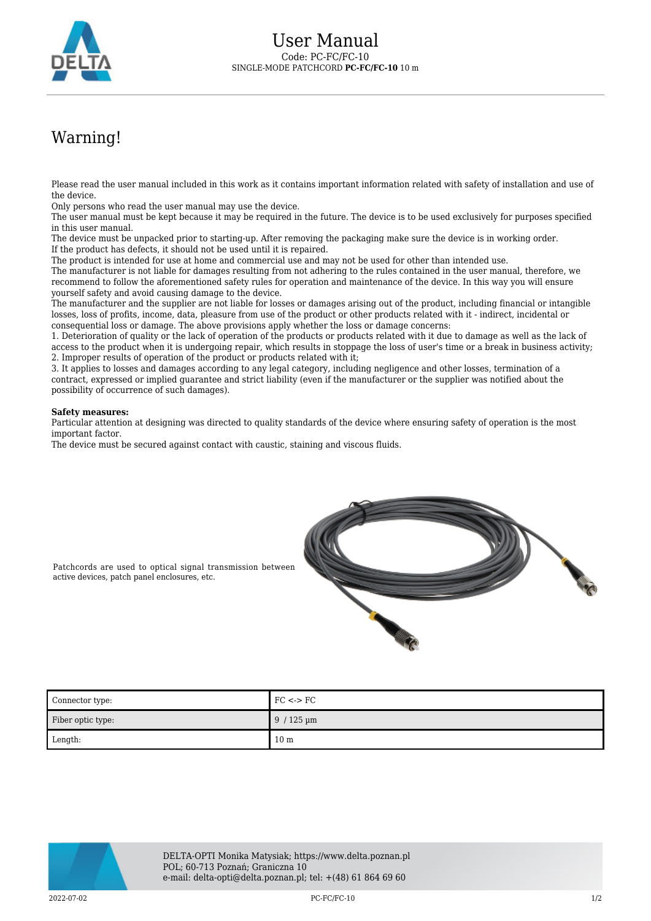

## Warning!

Please read the user manual included in this work as it contains important information related with safety of installation and use of the device.

Only persons who read the user manual may use the device.

The user manual must be kept because it may be required in the future. The device is to be used exclusively for purposes specified in this user manual.

The device must be unpacked prior to starting-up. After removing the packaging make sure the device is in working order. If the product has defects, it should not be used until it is repaired.

The product is intended for use at home and commercial use and may not be used for other than intended use.

The manufacturer is not liable for damages resulting from not adhering to the rules contained in the user manual, therefore, we recommend to follow the aforementioned safety rules for operation and maintenance of the device. In this way you will ensure yourself safety and avoid causing damage to the device.

The manufacturer and the supplier are not liable for losses or damages arising out of the product, including financial or intangible losses, loss of profits, income, data, pleasure from use of the product or other products related with it - indirect, incidental or consequential loss or damage. The above provisions apply whether the loss or damage concerns:

1. Deterioration of quality or the lack of operation of the products or products related with it due to damage as well as the lack of access to the product when it is undergoing repair, which results in stoppage the loss of user's time or a break in business activity; 2. Improper results of operation of the product or products related with it;

3. It applies to losses and damages according to any legal category, including negligence and other losses, termination of a contract, expressed or implied guarantee and strict liability (even if the manufacturer or the supplier was notified about the possibility of occurrence of such damages).

## **Safety measures:**

Particular attention at designing was directed to quality standards of the device where ensuring safety of operation is the most important factor.

The device must be secured against contact with caustic, staining and viscous fluids.



Patchcords are used to optical signal transmission between active devices, patch panel enclosures, etc.

| Connector type:   | $FC \lt\gt F C$ |
|-------------------|-----------------|
| Fiber optic type: | $9/125 \mu m$   |
| Length:           | 10 <sub>m</sub> |